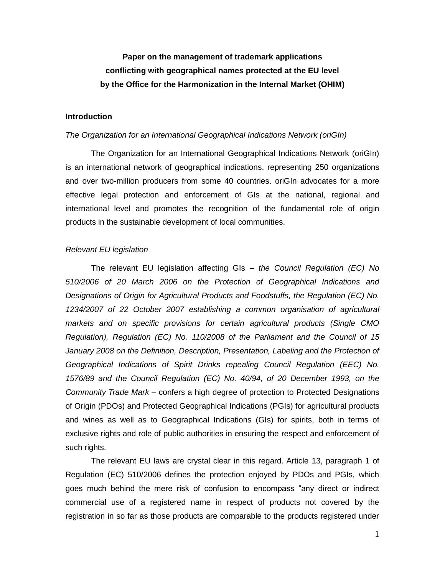## **Paper on the management of trademark applications conflicting with geographical names protected at the EU level by the Office for the Harmonization in the Internal Market (OHIM)**

#### **Introduction**

#### *The Organization for an International Geographical Indications Network (oriGIn)*

The Organization for an International Geographical Indications Network (oriGIn) is an international network of geographical indications, representing 250 organizations and over two-million producers from some 40 countries. oriGIn advocates for a more effective legal protection and enforcement of GIs at the national, regional and international level and promotes the recognition of the fundamental role of origin products in the sustainable development of local communities.

#### *Relevant EU legislation*

The relevant EU legislation affecting GIs – *the Council Regulation (EC) No 510/2006 of 20 March 2006 on the Protection of Geographical Indications and Designations of Origin for Agricultural Products and Foodstuffs, the Regulation (EC) No. 1234/2007 of 22 October 2007 establishing a common organisation of agricultural markets and on specific provisions for certain agricultural products (Single CMO Regulation), Regulation (EC) No. 110/2008 of the Parliament and the Council of 15*  January 2008 on the Definition, Description, Presentation, Labeling and the Protection of *Geographical Indications of Spirit Drinks repealing Council Regulation (EEC) No. 1576/89 and the Council Regulation (EC) No. 40/94, of 20 December 1993, on the Community Trade Mark* – confers a high degree of protection to Protected Designations of Origin (PDOs) and Protected Geographical Indications (PGIs) for agricultural products and wines as well as to Geographical Indications (GIs) for spirits, both in terms of exclusive rights and role of public authorities in ensuring the respect and enforcement of such rights.

The relevant EU laws are crystal clear in this regard. Article 13, paragraph 1 of Regulation (EC) 510/2006 defines the protection enjoyed by PDOs and PGIs, which goes much behind the mere risk of confusion to encompass "any direct or indirect commercial use of a registered name in respect of products not covered by the registration in so far as those products are comparable to the products registered under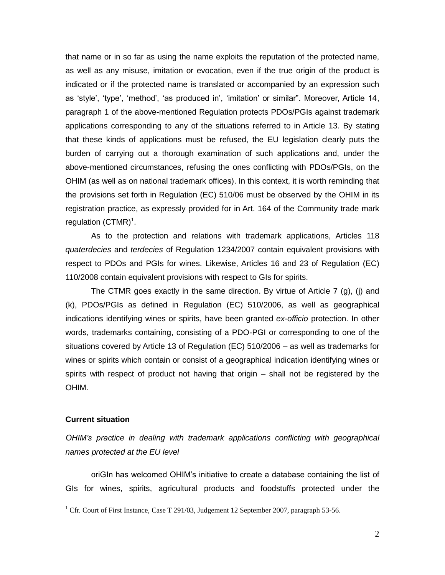that name or in so far as using the name exploits the reputation of the protected name, as well as any misuse, imitation or evocation, even if the true origin of the product is indicated or if the protected name is translated or accompanied by an expression such as "style", "type", "method", "as produced in", "imitation" or similar". Moreover, Article 14, paragraph 1 of the above-mentioned Regulation protects PDOs/PGIs against trademark applications corresponding to any of the situations referred to in Article 13. By stating that these kinds of applications must be refused, the EU legislation clearly puts the burden of carrying out a thorough examination of such applications and, under the above-mentioned circumstances, refusing the ones conflicting with PDOs/PGIs, on the OHIM (as well as on national trademark offices). In this context, it is worth reminding that the provisions set forth in Regulation (EC) 510/06 must be observed by the OHIM in its registration practice, as expressly provided for in Art. 164 of the Community trade mark regulation  $(CTMR)^1$ .

As to the protection and relations with trademark applications, Articles 118 *quaterdecies* and *terdecies* of Regulation 1234/2007 contain equivalent provisions with respect to PDOs and PGIs for wines. Likewise, Articles 16 and 23 of Regulation (EC) 110/2008 contain equivalent provisions with respect to GIs for spirits.

The CTMR goes exactly in the same direction. By virtue of Article  $7$  (g), (j) and (k), PDOs/PGIs as defined in Regulation (EC) 510/2006, as well as geographical indications identifying wines or spirits, have been granted *ex-officio* protection. In other words, trademarks containing, consisting of a PDO-PGI or corresponding to one of the situations covered by Article 13 of Regulation (EC) 510/2006 – as well as trademarks for wines or spirits which contain or consist of a geographical indication identifying wines or spirits with respect of product not having that origin – shall not be registered by the OHIM.

### **Current situation**

 $\overline{a}$ 

*OHIM's practice in dealing with trademark applications conflicting with geographical names protected at the EU level* 

oriGIn has welcomed OHIM"s initiative to create a database containing the list of GIs for wines, spirits, agricultural products and foodstuffs protected under the

<sup>&</sup>lt;sup>1</sup> Cfr. Court of First Instance, Case T 291/03, Judgement 12 September 2007, paragraph 53-56.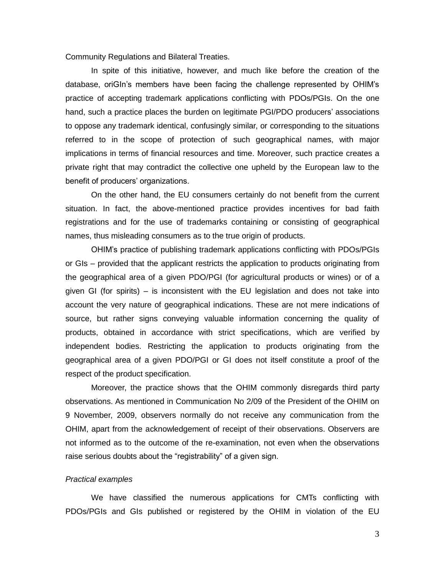Community Regulations and Bilateral Treaties.

In spite of this initiative, however, and much like before the creation of the database, oriGIn"s members have been facing the challenge represented by OHIM"s practice of accepting trademark applications conflicting with PDOs/PGIs. On the one hand, such a practice places the burden on legitimate PGI/PDO producers' associations to oppose any trademark identical, confusingly similar, or corresponding to the situations referred to in the scope of protection of such geographical names, with major implications in terms of financial resources and time. Moreover, such practice creates a private right that may contradict the collective one upheld by the European law to the benefit of producers' organizations.

On the other hand, the EU consumers certainly do not benefit from the current situation. In fact, the above-mentioned practice provides incentives for bad faith registrations and for the use of trademarks containing or consisting of geographical names, thus misleading consumers as to the true origin of products.

OHIM"s practice of publishing trademark applications conflicting with PDOs/PGIs or GIs – provided that the applicant restricts the application to products originating from the geographical area of a given PDO/PGI (for agricultural products or wines) or of a given GI (for spirits) – is inconsistent with the EU legislation and does not take into account the very nature of geographical indications. These are not mere indications of source, but rather signs conveying valuable information concerning the quality of products, obtained in accordance with strict specifications, which are verified by independent bodies. Restricting the application to products originating from the geographical area of a given PDO/PGI or GI does not itself constitute a proof of the respect of the product specification.

Moreover, the practice shows that the OHIM commonly disregards third party observations. As mentioned in Communication No 2/09 of the President of the OHIM on 9 November, 2009, observers normally do not receive any communication from the OHIM, apart from the acknowledgement of receipt of their observations. Observers are not informed as to the outcome of the re-examination, not even when the observations raise serious doubts about the "registrability" of a given sign.

#### *Practical examples*

We have classified the numerous applications for CMTs conflicting with PDOs/PGIs and GIs published or registered by the OHIM in violation of the EU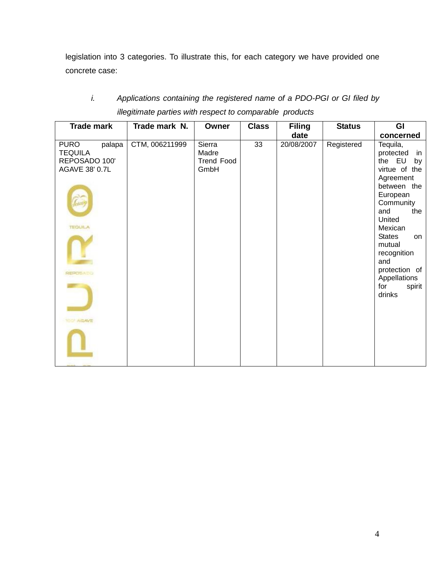legislation into 3 categories. To illustrate this, for each category we have provided one concrete case:

# *i. Applications containing the registered name of a PDO-PGI or GI filed by illegitimate parties with respect to comparable products*

| <b>Trade mark</b>                                                                                                    | Trade mark N.  | Owner                                        | <b>Class</b> | <b>Filing</b> | <b>Status</b> | GI                                                                                                                                                                                                                                                                      |
|----------------------------------------------------------------------------------------------------------------------|----------------|----------------------------------------------|--------------|---------------|---------------|-------------------------------------------------------------------------------------------------------------------------------------------------------------------------------------------------------------------------------------------------------------------------|
|                                                                                                                      |                |                                              |              | date          |               | concerned                                                                                                                                                                                                                                                               |
| <b>PURO</b><br>palapa<br><b>TEQUILA</b><br>REPOSADO 100'<br>AGAVE 38' 0.7L<br><b>TEQUILA</b><br>REPOSADO<br>O' AGAVE | CTM, 006211999 | Sierra<br>Madre<br><b>Trend Food</b><br>GmbH | 33           | 20/08/2007    | Registered    | Tequila,<br>protected<br>in<br>the EU<br>by<br>virtue of the<br>Agreement<br>between the<br>European<br>Community<br>and<br>the<br>United<br>Mexican<br><b>States</b><br>on<br>mutual<br>recognition<br>and<br>protection of<br>Appellations<br>for<br>spirit<br>drinks |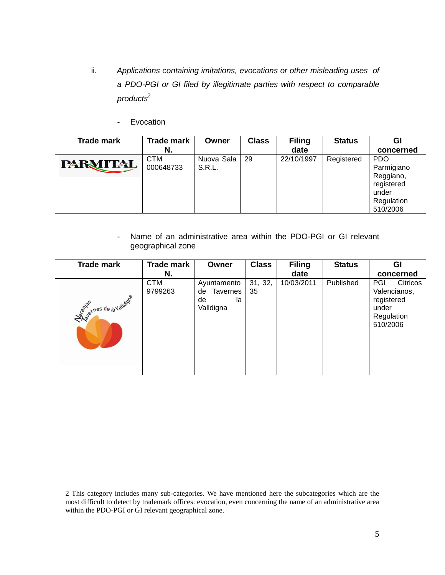- ii. *Applications containing imitations, evocations or other misleading uses of a PDO-PGI or GI filed by illegitimate parties with respect to comparable products* 2
	- Evocation

 $\overline{a}$ 

| Trade mark      | <b>Trade mark</b><br>N. | Owner                | <b>Class</b> | <b>Filing</b><br>date | <b>Status</b> | Gl<br>concerned                                                                        |
|-----------------|-------------------------|----------------------|--------------|-----------------------|---------------|----------------------------------------------------------------------------------------|
| <b>PARMITAL</b> | <b>CTM</b><br>000648733 | Nuova Sala<br>S.R.L. | 29           | 22/10/1997            | Registered    | <b>PDO</b><br>Parmigiano<br>Reggiano,<br>registered<br>under<br>Regulation<br>510/2006 |

- Name of an administrative area within the PDO-PGI or GI relevant geographical zone

| <b>Trade mark</b>             | <b>Trade mark</b>     | Owner                                                  | <b>Class</b>  | <b>Filing</b> | <b>Status</b> | GI                                                                               |
|-------------------------------|-----------------------|--------------------------------------------------------|---------------|---------------|---------------|----------------------------------------------------------------------------------|
|                               | N.                    |                                                        |               | date          |               | concerned                                                                        |
| <b>Asive Theside Avaluage</b> | <b>CTM</b><br>9799263 | Ayuntamento<br>Tavernes<br>de<br>de<br>la<br>Valldigna | 31, 32,<br>35 | 10/03/2011    | Published     | PGI<br>Citricos<br>Valencianos,<br>registered<br>under<br>Regulation<br>510/2006 |

<sup>2</sup> This category includes many sub-categories. We have mentioned here the subcategories which are the most difficult to detect by trademark offices: evocation, even concerning the name of an administrative area within the PDO-PGI or GI relevant geographical zone.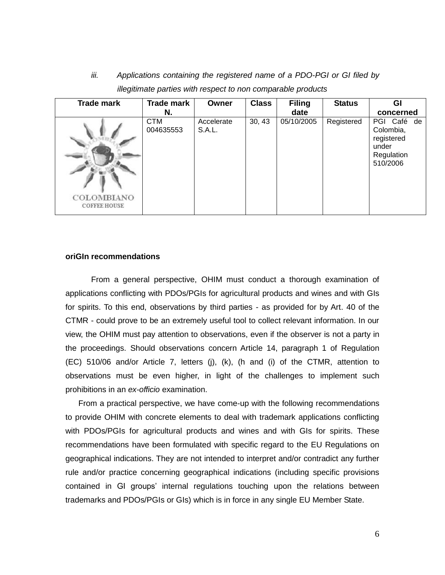| <b>Trade mark</b>                 | <b>Trade mark</b><br>N. | Owner                | <b>Class</b> | <b>Filing</b><br>date | <b>Status</b> | Gl<br>concerned                                                           |
|-----------------------------------|-------------------------|----------------------|--------------|-----------------------|---------------|---------------------------------------------------------------------------|
| COLOMBIANO<br><b>COFFEE HOUSE</b> | <b>CTM</b><br>004635553 | Accelerate<br>S.A.L. | 30, 43       | 05/10/2005            | Registered    | PGI Café de<br>Colombia,<br>registered<br>under<br>Regulation<br>510/2006 |

*iii. Applications containing the registered name of a PDO-PGI or GI filed by illegitimate parties with respect to non comparable products*

#### **oriGIn recommendations**

From a general perspective, OHIM must conduct a thorough examination of applications conflicting with PDOs/PGIs for agricultural products and wines and with GIs for spirits. To this end, observations by third parties - as provided for by Art. 40 of the CTMR - could prove to be an extremely useful tool to collect relevant information. In our view, the OHIM must pay attention to observations, even if the observer is not a party in the proceedings. Should observations concern Article 14, paragraph 1 of Regulation (EC) 510/06 and/or Article 7, letters (j), (k), (h and (i) of the CTMR, attention to observations must be even higher, in light of the challenges to implement such prohibitions in an *ex-officio* examination.

From a practical perspective, we have come-up with the following recommendations to provide OHIM with concrete elements to deal with trademark applications conflicting with PDOs/PGIs for agricultural products and wines and with GIs for spirits. These recommendations have been formulated with specific regard to the EU Regulations on geographical indications. They are not intended to interpret and/or contradict any further rule and/or practice concerning geographical indications (including specific provisions contained in GI groups" internal regulations touching upon the relations between trademarks and PDOs/PGIs or GIs) which is in force in any single EU Member State.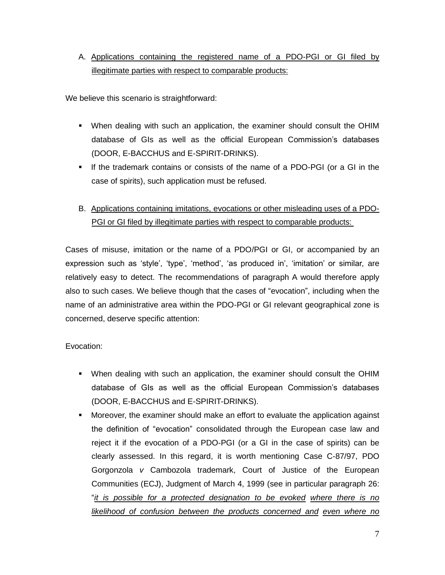### A. Applications containing the registered name of a PDO-PGI or GI filed by illegitimate parties with respect to comparable products:

We believe this scenario is straightforward:

- When dealing with such an application, the examiner should consult the OHIM database of GIs as well as the official European Commission's databases (DOOR, E-BACCHUS and E-SPIRIT-DRINKS).
- If the trademark contains or consists of the name of a PDO-PGI (or a GI in the case of spirits), such application must be refused.
- B. Applications containing imitations, evocations or other misleading uses of a PDO-PGI or GI filed by illegitimate parties with respect to comparable products:

Cases of misuse, imitation or the name of a PDO/PGI or GI, or accompanied by an expression such as 'style', 'type', 'method', 'as produced in', 'imitation' or similar, are relatively easy to detect. The recommendations of paragraph A would therefore apply also to such cases. We believe though that the cases of "evocation", including when the name of an administrative area within the PDO-PGI or GI relevant geographical zone is concerned, deserve specific attention:

### Evocation:

- When dealing with such an application, the examiner should consult the OHIM database of GIs as well as the official European Commission"s databases (DOOR, E-BACCHUS and E-SPIRIT-DRINKS).
- Moreover, the examiner should make an effort to evaluate the application against the definition of "evocation" consolidated through the European case law and reject it if the evocation of a PDO-PGI (or a GI in the case of spirits) can be clearly assessed. In this regard, it is worth mentioning Case C-87/97, PDO Gorgonzola *v* Cambozola trademark, Court of Justice of the European Communities (ECJ), Judgment of March 4, 1999 (see in particular paragraph 26: "*it is possible for a protected designation to be evoked where there is no likelihood of confusion between the products concerned and even where no*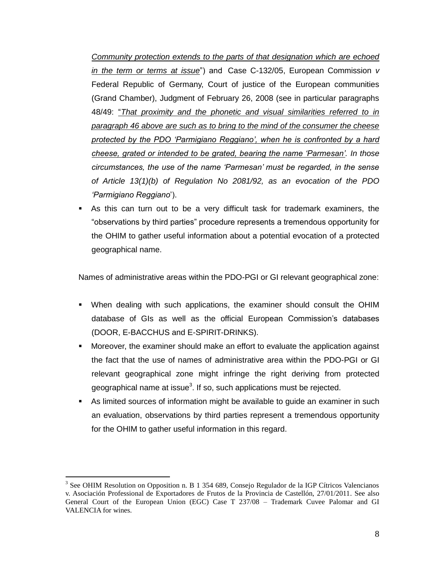*Community protection extends to the parts of that designation which are echoed in the term or terms at issue*") and Case C-132/05, European Commission *v*  Federal Republic of Germany, Court of justice of the European communities (Grand Chamber), Judgment of February 26, 2008 (see in particular paragraphs 48/49: "*That proximity and the phonetic and visual similarities referred to in paragraph 46 above are such as to bring to the mind of the consumer the cheese protected by the PDO 'Parmigiano Reggiano', when he is confronted by a hard cheese, grated or intended to be grated, bearing the name 'Parmesan'. In those circumstances, the use of the name 'Parmesan' must be regarded, in the sense of Article 13(1)(b) of Regulation No 2081/92, as an evocation of the PDO 'Parmigiano Reggiano*").

 As this can turn out to be a very difficult task for trademark examiners, the "observations by third parties" procedure represents a tremendous opportunity for the OHIM to gather useful information about a potential evocation of a protected geographical name.

Names of administrative areas within the PDO-PGI or GI relevant geographical zone:

- When dealing with such applications, the examiner should consult the OHIM database of GIs as well as the official European Commission"s databases (DOOR, E-BACCHUS and E-SPIRIT-DRINKS).
- Moreover, the examiner should make an effort to evaluate the application against the fact that the use of names of administrative area within the PDO-PGI or GI relevant geographical zone might infringe the right deriving from protected geographical name at issue<sup>3</sup>. If so, such applications must be rejected.
- As limited sources of information might be available to guide an examiner in such an evaluation, observations by third parties represent a tremendous opportunity for the OHIM to gather useful information in this regard.

<sup>&</sup>lt;sup>3</sup> See OHIM Resolution on Opposition n. B 1 354 689, Consejo Regulador de la IGP Cítricos Valencianos v. Asociación Professional de Exportadores de Frutos de la Provincia de Castellón, 27/01/2011. See also General Court of the European Union (EGC) Case T 237/08 – Trademark Cuvee Palomar and GI VALENCIA for wines.